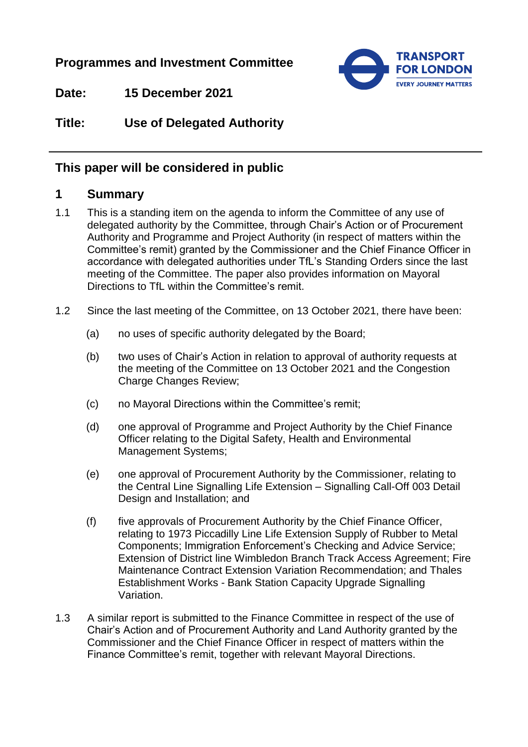**Programmes and Investment Committee**

**TRANSPORT FOR LONDON EVERY JOURNEY MATTERS** 

**Date: 15 December 2021**

**Title: Use of Delegated Authority**

# **This paper will be considered in public**

# **1 Summary**

- 1.1 This is a standing item on the agenda to inform the Committee of any use of delegated authority by the Committee, through Chair's Action or of Procurement Authority and Programme and Project Authority (in respect of matters within the Committee's remit) granted by the Commissioner and the Chief Finance Officer in accordance with delegated authorities under TfL's Standing Orders since the last meeting of the Committee. The paper also provides information on Mayoral Directions to TfL within the Committee's remit.
- 1.2 Since the last meeting of the Committee, on 13 October 2021, there have been:
	- (a) no uses of specific authority delegated by the Board;
	- (b) two uses of Chair's Action in relation to approval of authority requests at the meeting of the Committee on 13 October 2021 and the Congestion Charge Changes Review;
	- (c) no Mayoral Directions within the Committee's remit;
	- (d) one approval of Programme and Project Authority by the Chief Finance Officer relating to the Digital Safety, Health and Environmental Management Systems;
	- (e) one approval of Procurement Authority by the Commissioner, relating to the Central Line Signalling Life Extension – Signalling Call-Off 003 Detail Design and Installation; and
	- (f) five approvals of Procurement Authority by the Chief Finance Officer, relating to 1973 Piccadilly Line Life Extension Supply of Rubber to Metal Components; Immigration Enforcement's Checking and Advice Service; Extension of District line Wimbledon Branch Track Access Agreement; Fire Maintenance Contract Extension Variation Recommendation; and Thales Establishment Works - Bank Station Capacity Upgrade Signalling Variation.
- 1.3 A similar report is submitted to the Finance Committee in respect of the use of Chair's Action and of Procurement Authority and Land Authority granted by the Commissioner and the Chief Finance Officer in respect of matters within the Finance Committee's remit, together with relevant Mayoral Directions.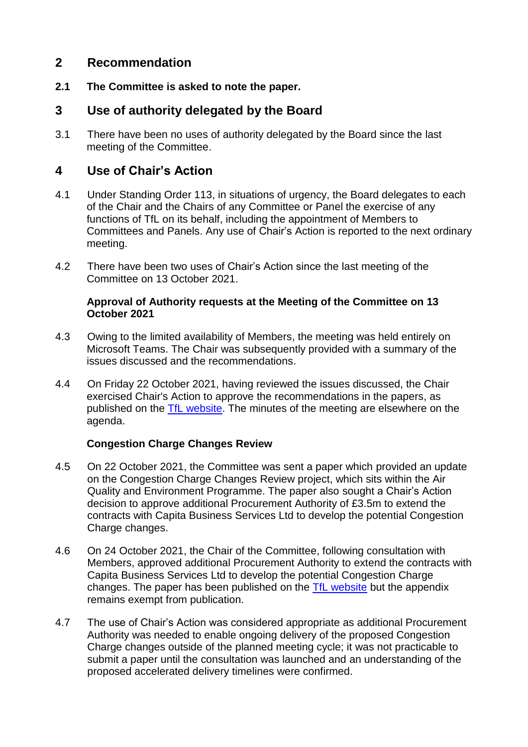## **2 Recommendation**

**2.1 The Committee is asked to note the paper.**

## **3 Use of authority delegated by the Board**

3.1 There have been no uses of authority delegated by the Board since the last meeting of the Committee.

## **4 Use of Chair's Action**

- 4.1 Under Standing Order 113, in situations of urgency, the Board delegates to each of the Chair and the Chairs of any Committee or Panel the exercise of any functions of TfL on its behalf, including the appointment of Members to Committees and Panels. Any use of Chair's Action is reported to the next ordinary meeting.
- 4.2 There have been two uses of Chair's Action since the last meeting of the Committee on 13 October 2021.

#### **Approval of Authority requests at the Meeting of the Committee on 13 October 2021**

- 4.3 Owing to the limited availability of Members, the meeting was held entirely on Microsoft Teams. The Chair was subsequently provided with a summary of the issues discussed and the recommendations.
- 4.4 On Friday 22 October 2021, having reviewed the issues discussed, the Chair exercised Chair's Action to approve the recommendations in the papers, as published on the [TfL website.](https://board.tfl.gov.uk/ieListDocuments.aspx?CId=172&MId=620&Ver=4) The minutes of the meeting are elsewhere on the agenda.

### **Congestion Charge Changes Review**

- 4.5 On 22 October 2021, the Committee was sent a paper which provided an update on the Congestion Charge Changes Review project, which sits within the Air Quality and Environment Programme. The paper also sought a Chair's Action decision to approve additional Procurement Authority of £3.5m to extend the contracts with Capita Business Services Ltd to develop the potential Congestion Charge changes.
- 4.6 On 24 October 2021, the Chair of the Committee, following consultation with Members, approved additional Procurement Authority to extend the contracts with Capita Business Services Ltd to develop the potential Congestion Charge changes. The paper has been published on the [TfL website](https://board.tfl.gov.uk/ieListDocuments.aspx?CId=172&MId=621&Ver=4) but the appendix remains exempt from publication.
- 4.7 The use of Chair's Action was considered appropriate as additional Procurement Authority was needed to enable ongoing delivery of the proposed Congestion Charge changes outside of the planned meeting cycle; it was not practicable to submit a paper until the consultation was launched and an understanding of the proposed accelerated delivery timelines were confirmed.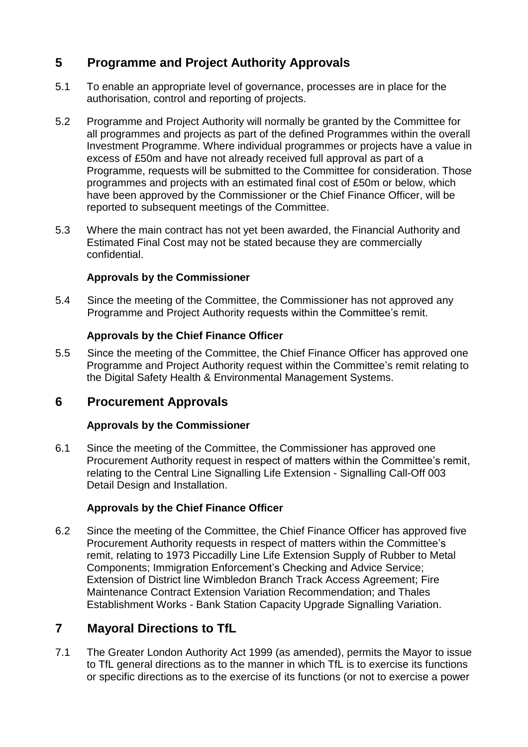# **5 Programme and Project Authority Approvals**

- 5.1 To enable an appropriate level of governance, processes are in place for the authorisation, control and reporting of projects.
- 5.2 Programme and Project Authority will normally be granted by the Committee for all programmes and projects as part of the defined Programmes within the overall Investment Programme. Where individual programmes or projects have a value in excess of £50m and have not already received full approval as part of a Programme, requests will be submitted to the Committee for consideration. Those programmes and projects with an estimated final cost of £50m or below, which have been approved by the Commissioner or the Chief Finance Officer, will be reported to subsequent meetings of the Committee.
- 5.3 Where the main contract has not yet been awarded, the Financial Authority and Estimated Final Cost may not be stated because they are commercially confidential.

### **Approvals by the Commissioner**

5.4 Since the meeting of the Committee, the Commissioner has not approved any Programme and Project Authority requests within the Committee's remit.

### **Approvals by the Chief Finance Officer**

5.5 Since the meeting of the Committee, the Chief Finance Officer has approved one Programme and Project Authority request within the Committee's remit relating to the Digital Safety Health & Environmental Management Systems.

## **6 Procurement Approvals**

### **Approvals by the Commissioner**

6.1 Since the meeting of the Committee, the Commissioner has approved one Procurement Authority request in respect of matters within the Committee's remit, relating to the Central Line Signalling Life Extension - Signalling Call-Off 003 Detail Design and Installation.

## **Approvals by the Chief Finance Officer**

6.2 Since the meeting of the Committee, the Chief Finance Officer has approved five Procurement Authority requests in respect of matters within the Committee's remit, relating to 1973 Piccadilly Line Life Extension Supply of Rubber to Metal Components; Immigration Enforcement's Checking and Advice Service; Extension of District line Wimbledon Branch Track Access Agreement; Fire Maintenance Contract Extension Variation Recommendation; and Thales Establishment Works - Bank Station Capacity Upgrade Signalling Variation.

## **7 Mayoral Directions to TfL**

7.1 The Greater London Authority Act 1999 (as amended), permits the Mayor to issue to TfL general directions as to the manner in which TfL is to exercise its functions or specific directions as to the exercise of its functions (or not to exercise a power